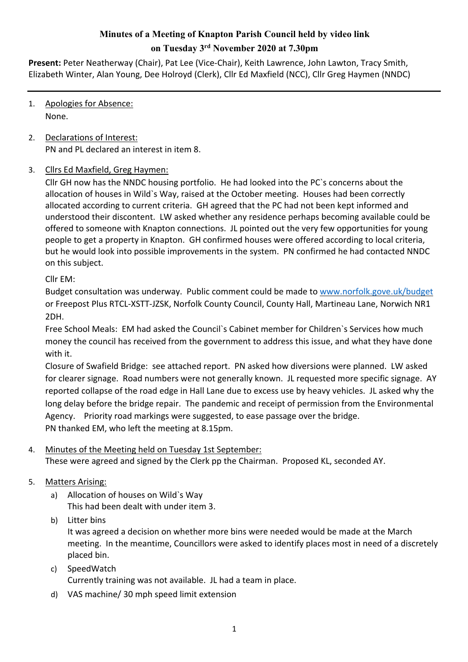# **Minutes of a Meeting of Knapton Parish Council held by video link on Tuesday 3rd November 2020 at 7.30pm**

**Present:** Peter Neatherway (Chair), Pat Lee (Vice-Chair), Keith Lawrence, John Lawton, Tracy Smith, Elizabeth Winter, Alan Young, Dee Holroyd (Clerk), Cllr Ed Maxfield (NCC), Cllr Greg Haymen (NNDC)

- 1. Apologies for Absence: None.
- 2. Declarations of Interest: PN and PL declared an interest in item 8.

## 3. Cllrs Ed Maxfield, Greg Haymen:

Cllr GH now has the NNDC housing portfolio. He had looked into the PC`s concerns about the allocation of houses in Wild`s Way, raised at the October meeting. Houses had been correctly allocated according to current criteria. GH agreed that the PC had not been kept informed and understood their discontent. LW asked whether any residence perhaps becoming available could be offered to someone with Knapton connections. JL pointed out the very few opportunities for young people to get a property in Knapton. GH confirmed houses were offered according to local criteria, but he would look into possible improvements in the system. PN confirmed he had contacted NNDC on this subject.

Cllr EM:

Budget consultation was underway. Public comment could be made to www.norfolk.gove.uk/budget or Freepost Plus RTCL-XSTT-JZSK, Norfolk County Council, County Hall, Martineau Lane, Norwich NR1 2DH.

Free School Meals: EM had asked the Council`s Cabinet member for Children`s Services how much money the council has received from the government to address this issue, and what they have done with it.

Closure of Swafield Bridge: see attached report. PN asked how diversions were planned. LW asked for clearer signage. Road numbers were not generally known. JL requested more specific signage. AY reported collapse of the road edge in Hall Lane due to excess use by heavy vehicles. JL asked why the long delay before the bridge repair. The pandemic and receipt of permission from the Environmental Agency. Priority road markings were suggested, to ease passage over the bridge. PN thanked EM, who left the meeting at 8.15pm.

#### 4. Minutes of the Meeting held on Tuesday 1st September:

These were agreed and signed by the Clerk pp the Chairman. Proposed KL, seconded AY.

## 5. Matters Arising:

- a) Allocation of houses on Wild`s Way This had been dealt with under item 3.
- b) Litter bins

It was agreed a decision on whether more bins were needed would be made at the March meeting. In the meantime, Councillors were asked to identify places most in need of a discretely placed bin.

- c) SpeedWatch Currently training was not available. JL had a team in place.
- d) VAS machine/ 30 mph speed limit extension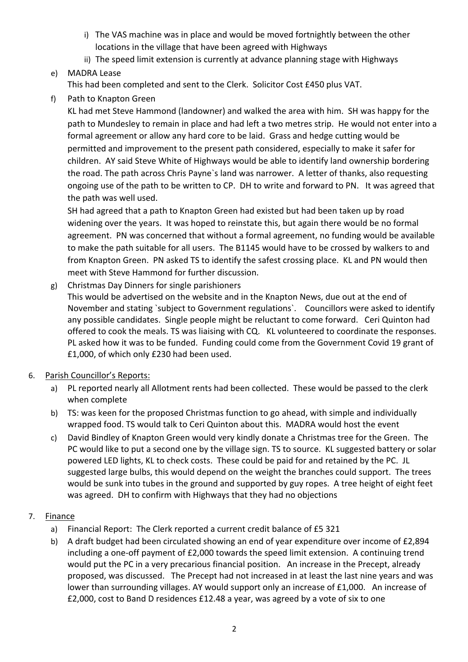- i) The VAS machine was in place and would be moved fortnightly between the other locations in the village that have been agreed with Highways
- ii) The speed limit extension is currently at advance planning stage with Highways
- e) MADRA Lease

This had been completed and sent to the Clerk. Solicitor Cost £450 plus VAT.

f) Path to Knapton Green

KL had met Steve Hammond (landowner) and walked the area with him. SH was happy for the path to Mundesley to remain in place and had left a two metres strip. He would not enter into a formal agreement or allow any hard core to be laid. Grass and hedge cutting would be permitted and improvement to the present path considered, especially to make it safer for children. AY said Steve White of Highways would be able to identify land ownership bordering the road. The path across Chris Payne`s land was narrower. A letter of thanks, also requesting ongoing use of the path to be written to CP. DH to write and forward to PN. It was agreed that the path was well used.

SH had agreed that a path to Knapton Green had existed but had been taken up by road widening over the years. It was hoped to reinstate this, but again there would be no formal agreement. PN was concerned that without a formal agreement, no funding would be available to make the path suitable for all users. The B1145 would have to be crossed by walkers to and from Knapton Green. PN asked TS to identify the safest crossing place. KL and PN would then meet with Steve Hammond for further discussion.

g) Christmas Day Dinners for single parishioners

This would be advertised on the website and in the Knapton News, due out at the end of November and stating `subject to Government regulations`. Councillors were asked to identify any possible candidates. Single people might be reluctant to come forward. Ceri Quinton had offered to cook the meals. TS was liaising with CQ. KL volunteered to coordinate the responses. PL asked how it was to be funded. Funding could come from the Government Covid 19 grant of £1,000, of which only £230 had been used.

- 6. Parish Councillor's Reports:
	- a) PL reported nearly all Allotment rents had been collected. These would be passed to the clerk when complete
	- b) TS: was keen for the proposed Christmas function to go ahead, with simple and individually wrapped food. TS would talk to Ceri Quinton about this. MADRA would host the event
	- c) David Bindley of Knapton Green would very kindly donate a Christmas tree for the Green. The PC would like to put a second one by the village sign. TS to source. KL suggested battery or solar powered LED lights, KL to check costs. These could be paid for and retained by the PC. JL suggested large bulbs, this would depend on the weight the branches could support. The trees would be sunk into tubes in the ground and supported by guy ropes. A tree height of eight feet was agreed. DH to confirm with Highways that they had no objections
- 7. Finance
	- a) Financial Report: The Clerk reported a current credit balance of £5 321
	- b) A draft budget had been circulated showing an end of year expenditure over income of £2,894 including a one-off payment of £2,000 towards the speed limit extension. A continuing trend would put the PC in a very precarious financial position. An increase in the Precept, already proposed, was discussed. The Precept had not increased in at least the last nine years and was lower than surrounding villages. AY would support only an increase of £1,000. An increase of £2,000, cost to Band D residences £12.48 a year, was agreed by a vote of six to one